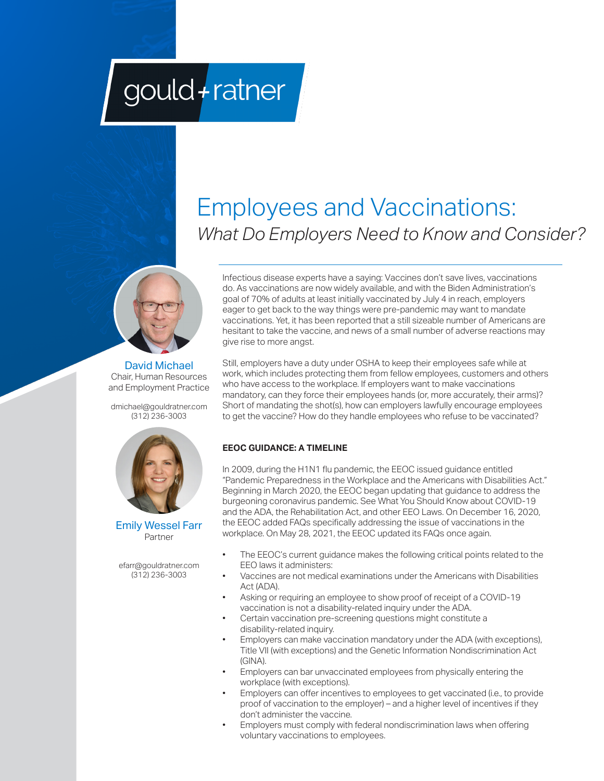# gould+ratner

# Employees and Vaccinations: *What Do Employers Need to Know and Consider?*



David Michael Chair, Human Resources and Employment Practice

dmichael@gouldratner.com (312) 236-3003





efarr@gouldratner.com (312) 236-3003

Infectious disease experts have a saying: Vaccines don't save lives, vaccinations do. As vaccinations are now widely available, and with the Biden Administration's goal of 70% of adults at least initially vaccinated by July 4 in reach, employers eager to get back to the way things were pre-pandemic may want to mandate vaccinations. Yet, it has been reported that a still sizeable number of Americans are hesitant to take the vaccine, and news of a small number of adverse reactions may give rise to more angst.

Still, employers have a duty under OSHA to keep their employees safe while at work, which includes protecting them from fellow employees, customers and others who have access to the workplace. If employers want to make vaccinations mandatory, can they force their employees hands (or, more accurately, their arms)? Short of mandating the shot(s), how can employers lawfully encourage employees to get the vaccine? How do they handle employees who refuse to be vaccinated?

# **EEOC GUIDANCE: A TIMELINE**

In 2009, during the H1N1 flu pandemic, the EEOC issued guidance entitled "Pandemic Preparedness in the Workplace and the Americans with Disabilities Act." Beginning in March 2020, the EEOC began updating that guidance to address the burgeoning coronavirus pandemic. See What You Should Know about COVID-19 and the ADA, the Rehabilitation Act, and other EEO Laws. On December 16, 2020, the EEOC added FAQs specifically addressing the issue of vaccinations in the workplace. On May 28, 2021, the EEOC updated its FAQs once again.

- The EEOC's current guidance makes the following critical points related to the EEO laws it administers:
- Vaccines are not medical examinations under the Americans with Disabilities Act (ADA).
- Asking or requiring an employee to show proof of receipt of a COVID-19 vaccination is not a disability-related inquiry under the ADA.
- Certain vaccination pre-screening questions might constitute a disability-related inquiry.
- Employers can make vaccination mandatory under the ADA (with exceptions), Title VII (with exceptions) and the Genetic Information Nondiscrimination Act (GINA).
- Employers can bar unvaccinated employees from physically entering the workplace (with exceptions).
- Employers can offer incentives to employees to get vaccinated (i.e., to provide proof of vaccination to the employer) – and a higher level of incentives if they don't administer the vaccine.
- Employers must comply with federal nondiscrimination laws when offering voluntary vaccinations to employees.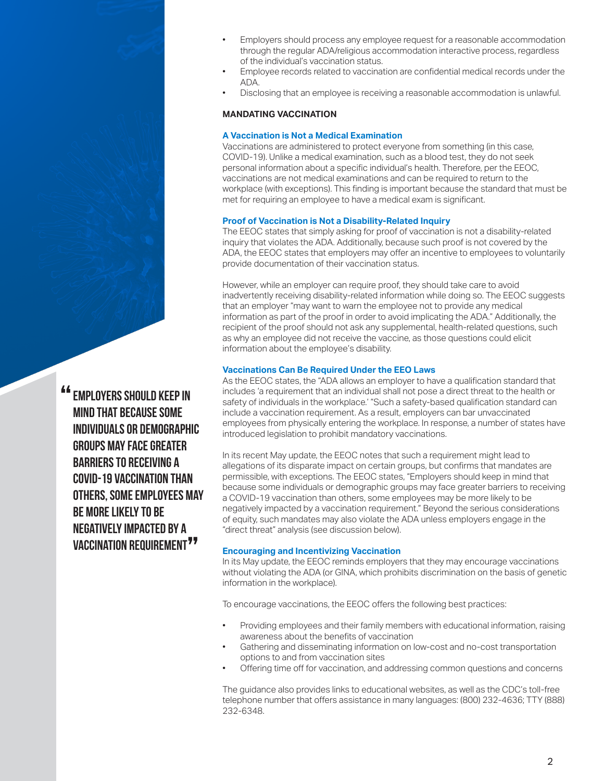- Employers should process any employee request for a reasonable accommodation through the regular ADA/religious accommodation interactive process, regardless of the individual's vaccination status.
- Employee records related to vaccination are confidential medical records under the ADA.
- Disclosing that an employee is receiving a reasonable accommodation is unlawful.

# **MANDATING VACCINATION**

## **A Vaccination is Not a Medical Examination**

Vaccinations are administered to protect everyone from something (in this case, COVID-19). Unlike a medical examination, such as a blood test, they do not seek personal information about a specific individual's health. Therefore, per the EEOC, vaccinations are not medical examinations and can be required to return to the workplace (with exceptions). This finding is important because the standard that must be met for requiring an employee to have a medical exam is significant.

#### **Proof of Vaccination is Not a Disability-Related Inquiry**

The EEOC states that simply asking for proof of vaccination is not a disability-related inquiry that violates the ADA. Additionally, because such proof is not covered by the ADA, the EEOC states that employers may offer an incentive to employees to voluntarily provide documentation of their vaccination status.

However, while an employer can require proof, they should take care to avoid inadvertently receiving disability-related information while doing so. The EEOC suggests that an employer "may want to warn the employee not to provide any medical information as part of the proof in order to avoid implicating the ADA." Additionally, the recipient of the proof should not ask any supplemental, health-related questions, such as why an employee did not receive the vaccine, as those questions could elicit information about the employee's disability.

#### **Vaccinations Can Be Required Under the EEO Laws**

As the EEOC states, the "ADA allows an employer to have a qualification standard that includes 'a requirement that an individual shall not pose a direct threat to the health or safety of individuals in the workplace.' "Such a safety-based qualification standard can include a vaccination requirement. As a result, employers can bar unvaccinated employees from physically entering the workplace. In response, a number of states have introduced legislation to prohibit mandatory vaccinations.

In its recent May update, the EEOC notes that such a requirement might lead to allegations of its disparate impact on certain groups, but confirms that mandates are permissible, with exceptions. The EEOC states, "Employers should keep in mind that because some individuals or demographic groups may face greater barriers to receiving a COVID-19 vaccination than others, some employees may be more likely to be negatively impacted by a vaccination requirement." Beyond the serious considerations of equity, such mandates may also violate the ADA unless employers engage in the "direct threat" analysis (see discussion below).

#### **Encouraging and Incentivizing Vaccination**

In its May update, the EEOC reminds employers that they may encourage vaccinations without violating the ADA (or GINA, which prohibits discrimination on the basis of genetic information in the workplace).

To encourage vaccinations, the EEOC offers the following best practices:

- Providing employees and their family members with educational information, raising awareness about the benefits of vaccination
- Gathering and disseminating information on low-cost and no-cost transportation options to and from vaccination sites
- Offering time off for vaccination, and addressing common questions and concerns

The guidance also provides links to educational websites, as well as the CDC's toll-free telephone number that offers assistance in many languages: (800) 232-4636; TTY (888) 232-6348.

EMPLOYERS SHOULD KEEP IN MIND THAT BECAUSE SOME INDIVIDUALS OR DEMOGRAPHIC GROUPS MAY FACE GREATER BARRIERS TO RECEIVING A covid-19 VACCINATION THAN OTHERS, SOME EMPLOYEES MAY BE MORE LIKELY TO BE NEGATIVELY IMPACTED BY A VACCINATION REQUIREMENT<sup>77</sup> "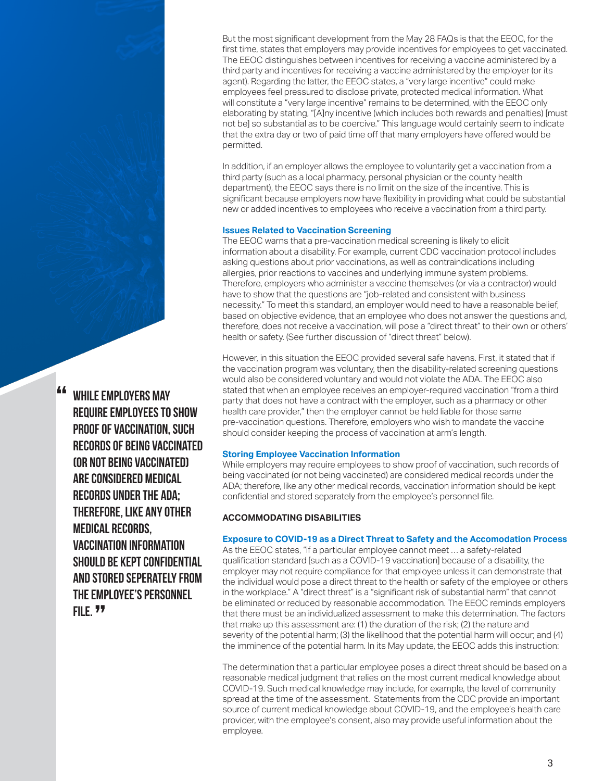But the most significant development from the May 28 FAQs is that the EEOC, for the first time, states that employers may provide incentives for employees to get vaccinated. The EEOC distinguishes between incentives for receiving a vaccine administered by a third party and incentives for receiving a vaccine administered by the employer (or its agent). Regarding the latter, the EEOC states, a "very large incentive" could make employees feel pressured to disclose private, protected medical information. What will constitute a "very large incentive" remains to be determined, with the EEOC only elaborating by stating, "[A]ny incentive (which includes both rewards and penalties) [must not be] so substantial as to be coercive." This language would certainly seem to indicate that the extra day or two of paid time off that many employers have offered would be permitted.

In addition, if an employer allows the employee to voluntarily get a vaccination from a third party (such as a local pharmacy, personal physician or the county health department), the EEOC says there is no limit on the size of the incentive. This is significant because employers now have flexibility in providing what could be substantial new or added incentives to employees who receive a vaccination from a third party.

#### **Issues Related to Vaccination Screening**

The EEOC warns that a pre-vaccination medical screening is likely to elicit information about a disability. For example, current CDC vaccination protocol includes asking questions about prior vaccinations, as well as contraindications including allergies, prior reactions to vaccines and underlying immune system problems. Therefore, employers who administer a vaccine themselves (or via a contractor) would have to show that the questions are "job-related and consistent with business necessity." To meet this standard, an employer would need to have a reasonable belief, based on objective evidence, that an employee who does not answer the questions and, therefore, does not receive a vaccination, will pose a "direct threat" to their own or others' health or safety. (See further discussion of "direct threat" below).

However, in this situation the EEOC provided several safe havens. First, it stated that if the vaccination program was voluntary, then the disability-related screening questions would also be considered voluntary and would not violate the ADA. The EEOC also stated that when an employee receives an employer-required vaccination "from a third party that does not have a contract with the employer, such as a pharmacy or other health care provider," then the employer cannot be held liable for those same pre-vaccination questions. Therefore, employers who wish to mandate the vaccine should consider keeping the process of vaccination at arm's length.

#### **Storing Employee Vaccination Information**

While employers may require employees to show proof of vaccination, such records of being vaccinated (or not being vaccinated) are considered medical records under the ADA; therefore, like any other medical records, vaccination information should be kept confidential and stored separately from the employee's personnel file.

#### **ACCOMMODATING DISABILITIES**

#### **Exposure to COVID-19 as a Direct Threat to Safety and the Accomodation Process**

As the EEOC states, "if a particular employee cannot meet … a safety-related qualification standard [such as a COVID-19 vaccination] because of a disability, the employer may not require compliance for that employee unless it can demonstrate that the individual would pose a direct threat to the health or safety of the employee or others in the workplace." A "direct threat" is a "significant risk of substantial harm" that cannot be eliminated or reduced by reasonable accommodation. The EEOC reminds employers that there must be an individualized assessment to make this determination. The factors that make up this assessment are: (1) the duration of the risk; (2) the nature and severity of the potential harm; (3) the likelihood that the potential harm will occur; and (4) the imminence of the potential harm. In its May update, the EEOC adds this instruction:

The determination that a particular employee poses a direct threat should be based on a reasonable medical judgment that relies on the most current medical knowledge about COVID-19. Such medical knowledge may include, for example, the level of community spread at the time of the assessment. Statements from the CDC provide an important source of current medical knowledge about COVID-19, and the employee's health care provider, with the employee's consent, also may provide useful information about the employee.

**"** WHILE EMPLOYERS MAY<br>REQUIRE EMPLOYEES TO REQUIRE EMPLOYEES TO SHOW PROOF OF VACCINATION, SUCH RECORDS OF BEINg vaccinated (or not being vaccinated) are considered medical records under the ada; therefore, like any other medical records, vaccination information should be kept confidential and stored seperately from the employee's personnel FILE. <sup>99</sup>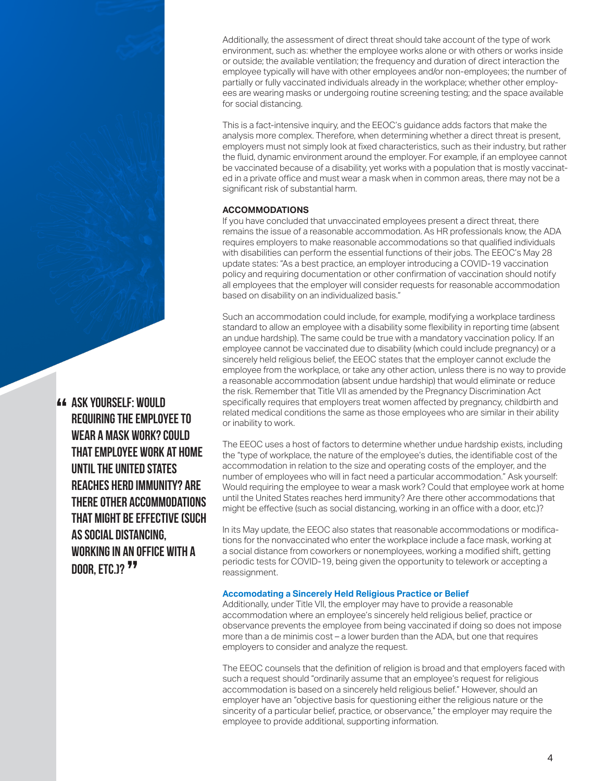Additionally, the assessment of direct threat should take account of the type of work environment, such as: whether the employee works alone or with others or works inside or outside; the available ventilation; the frequency and duration of direct interaction the employee typically will have with other employees and/or non-employees; the number of partially or fully vaccinated individuals already in the workplace; whether other employees are wearing masks or undergoing routine screening testing; and the space available for social distancing.

This is a fact-intensive inquiry, and the EEOC's guidance adds factors that make the analysis more complex. Therefore, when determining whether a direct threat is present, employers must not simply look at fixed characteristics, such as their industry, but rather the fluid, dynamic environment around the employer. For example, if an employee cannot be vaccinated because of a disability, yet works with a population that is mostly vaccinated in a private office and must wear a mask when in common areas, there may not be a significant risk of substantial harm.

#### **ACCOMMODATIONS**

If you have concluded that unvaccinated employees present a direct threat, there remains the issue of a reasonable accommodation. As HR professionals know, the ADA requires employers to make reasonable accommodations so that qualified individuals with disabilities can perform the essential functions of their jobs. The EEOC's May 28 update states: "As a best practice, an employer introducing a COVID-19 vaccination policy and requiring documentation or other confirmation of vaccination should notify all employees that the employer will consider requests for reasonable accommodation based on disability on an individualized basis."

Such an accommodation could include, for example, modifying a workplace tardiness standard to allow an employee with a disability some flexibility in reporting time (absent an undue hardship). The same could be true with a mandatory vaccination policy. If an employee cannot be vaccinated due to disability (which could include pregnancy) or a sincerely held religious belief, the EEOC states that the employer cannot exclude the employee from the workplace, or take any other action, unless there is no way to provide a reasonable accommodation (absent undue hardship) that would eliminate or reduce the risk. Remember that Title VII as amended by the Pregnancy Discrimination Act specifically requires that employers treat women affected by pregnancy, childbirth and related medical conditions the same as those employees who are similar in their ability or inability to work.

The EEOC uses a host of factors to determine whether undue hardship exists, including the "type of workplace, the nature of the employee's duties, the identifiable cost of the accommodation in relation to the size and operating costs of the employer, and the number of employees who will in fact need a particular accommodation." Ask yourself: Would requiring the employee to wear a mask work? Could that employee work at home until the United States reaches herd immunity? Are there other accommodations that might be effective (such as social distancing, working in an office with a door, etc.)?

In its May update, the EEOC also states that reasonable accommodations or modifications for the nonvaccinated who enter the workplace include a face mask, working at a social distance from coworkers or nonemployees, working a modified shift, getting periodic tests for COVID-19, being given the opportunity to telework or accepting a reassignment.

#### **Accomodating a Sincerely Held Religious Practice or Belief**

Additionally, under Title VII, the employer may have to provide a reasonable accommodation where an employee's sincerely held religious belief, practice or observance prevents the employee from being vaccinated if doing so does not impose more than a de minimis cost – a lower burden than the ADA, but one that requires employers to consider and analyze the request.

The EEOC counsels that the definition of religion is broad and that employers faced with such a request should "ordinarily assume that an employee's request for religious accommodation is based on a sincerely held religious belief." However, should an employer have an "objective basis for questioning either the religious nature or the sincerity of a particular belief, practice, or observance," the employer may require the employee to provide additional, supporting information.

Ask yourself: Would " requiring the employee to WEAR A MASK WORK? COULD that employee work at home until the United States reaches herd immunity? Are there other accommodations that might be effective (such as social distancing, working in an office with a DOOR, ETC.)? <sup>77</sup>